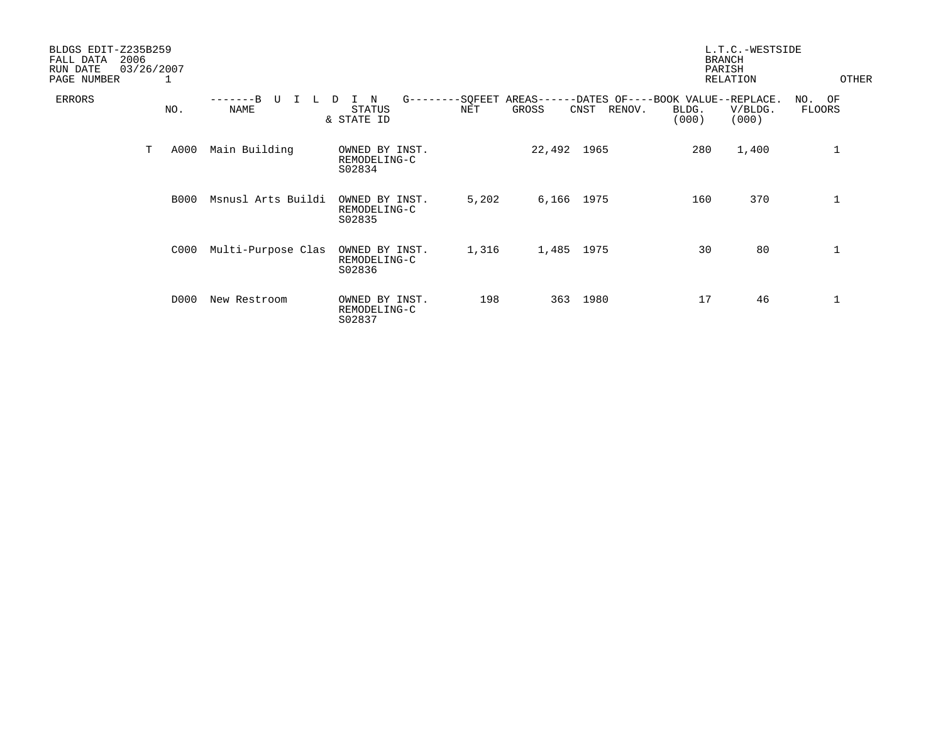| BLDGS EDIT-Z235B259<br>2006<br>FALL DATA<br>RUN DATE<br>PAGE NUMBER | 03/26/2007<br>1 |                                  |                                                   |       |                     |                | <b>BRANCH</b><br>PARISH                             | L.T.C.-WESTSIDE<br>RELATION | OTHER            |
|---------------------------------------------------------------------|-----------------|----------------------------------|---------------------------------------------------|-------|---------------------|----------------|-----------------------------------------------------|-----------------------------|------------------|
| ERRORS                                                              | NO.             | $---B$<br>τT<br>L<br><b>NAME</b> | $G------SOFEET$<br>N<br>D<br>STATUS<br>& STATE ID | NET   | $AREAS---$<br>GROSS | RENOV.<br>CNST | -DATES OF----BOOK VALUE--REPLACE.<br>BLDG.<br>(000) | V/BLDG.<br>(000)            | NO. OF<br>FLOORS |
| Т                                                                   | A000            | Main Building                    | OWNED BY INST.<br>REMODELING-C<br>S02834          |       | 22,492 1965         |                | 280                                                 | 1,400                       | 1                |
|                                                                     | <b>B000</b>     | Msnusl Arts Buildi               | OWNED BY INST.<br>REMODELING-C<br>S02835          | 5,202 | 6,166 1975          |                | 160                                                 | 370                         | 1                |
|                                                                     | C000            | Multi-Purpose Clas               | OWNED BY INST.<br>REMODELING-C<br>S02836          | 1,316 | 1,485 1975          |                | 30                                                  | 80                          | 1                |
|                                                                     | D000            | New Restroom                     | OWNED BY INST.<br>REMODELING-C<br>S02837          | 198   | 363                 | 1980           | 17                                                  | 46                          | 1                |